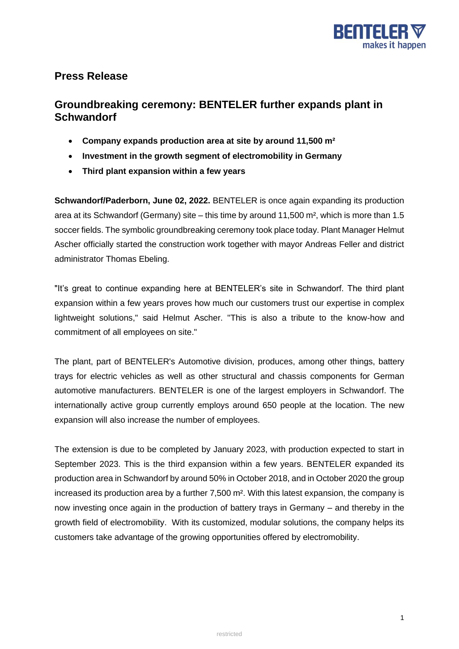

## **Press Release**

# **Groundbreaking ceremony: BENTELER further expands plant in Schwandorf**

- **Company expands production area at site by around 11,500 m²**
- **Investment in the growth segment of electromobility in Germany**
- **Third plant expansion within a few years**

**Schwandorf/Paderborn, June 02, 2022.** BENTELER is once again expanding its production area at its Schwandorf (Germany) site – this time by around 11,500 m², which is more than 1.5 soccer fields. The symbolic groundbreaking ceremony took place today. Plant Manager Helmut Ascher officially started the construction work together with mayor Andreas Feller and district administrator Thomas Ebeling.

"It's great to continue expanding here at BENTELER's site in Schwandorf. The third plant expansion within a few years proves how much our customers trust our expertise in complex lightweight solutions," said Helmut Ascher. "This is also a tribute to the know-how and commitment of all employees on site."

The plant, part of BENTELER's Automotive division, produces, among other things, battery trays for electric vehicles as well as other structural and chassis components for German automotive manufacturers. BENTELER is one of the largest employers in Schwandorf. The internationally active group currently employs around 650 people at the location. The new expansion will also increase the number of employees.

The extension is due to be completed by January 2023, with production expected to start in September 2023. This is the third expansion within a few years. BENTELER expanded its production area in Schwandorf by around 50% in October 2018, and in October 2020 the group increased its production area by a further 7,500 m². With this latest expansion, the company is now investing once again in the production of battery trays in Germany – and thereby in the growth field of electromobility. With its customized, modular solutions, the company helps its customers take advantage of the growing opportunities offered by electromobility.